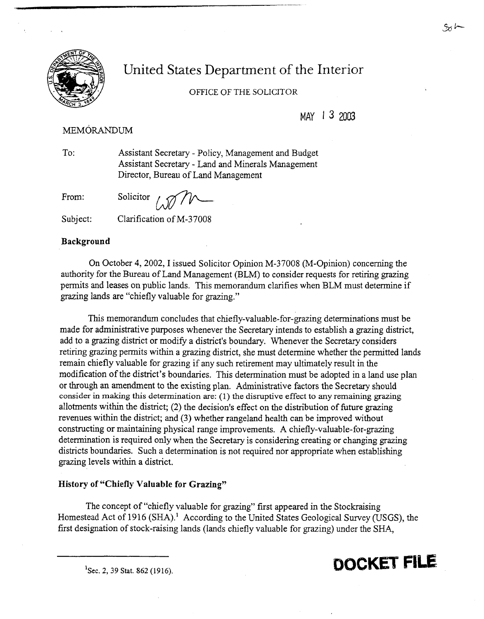

# United States Department of the Interior

## OFFICE OF THE SOLICITOR

MAY 1 **3** 2003

## MEMORANDUM

To: Assistant Secretary - Policy, Management and Budget Assistant Secretary - Land and Minerals Management Director, Bureau of Land Management

From:

Solicitor

#### Subject: Clarification of M-37008

#### **Background**

On October 4,2002, I issued Solicitor Opinion M-37008 (M-Opinion) concerning the authority for the Bureau of Land Management (BLM) to consider requests for retiring grazing permits and leases on public lands. This memorandum clarifies when BLM must determine if grazing lands are "chiefly valuable for grazing."

This memorandum concludes that chiefly-valuable-for-grazing determinations must be made for administrative purposes whenever the Secretary intends to establish a grazing district, add to a grazing district or modify a district's boundary. Whenever the Secretary considers retiring grazing permits within a grazing district, she must determine whether the permitted lands remain chiefly valuable for grazing if any such retirement may ultimately result in the modification of the district's boundaries. This determination must be adopted in a land use plan or through an amendment to the existing plan. Administrative factors the Secretary should consider in making this determination are: (1) the disruptive effect to any remaining **grazing**  allotments within the district; (2) the decision's effect on the distribution of future grazing revenues within the district; and **(3)** whether rangeland health can be improved without constructing or maintaining physical range improvements. A chiefly-valuable-for-grazing determination is required only when the Secretary is considering creating or changing grazing districts boundaries. Such a determination is not required nor appropriate when establishing grazing levels within a district.

### **History of "Chiefly Valuable for Grazing"**

The concept of "chiefly valuable for grazing" first appeared in the Stockraising Homestead Act of 1916 (SHA).' According to the United States Geological Survey (USGS), the first designation of stock-raising lands (lands chiefly valuable for grazing) under the SHA, -- -

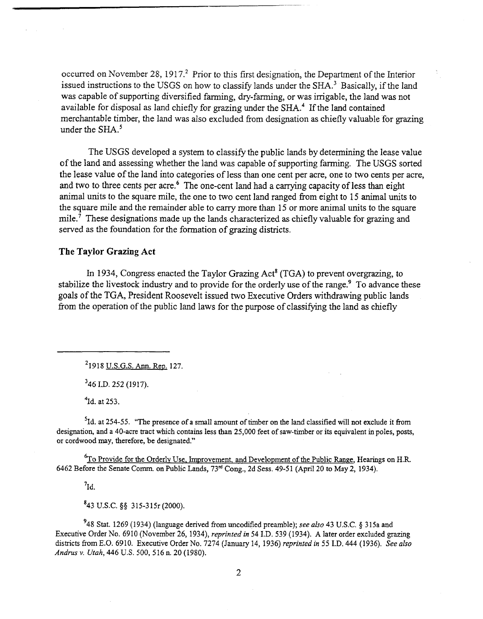occurred on November 28, 1917<sup>2</sup> Prior to this first designation, the Department of the Interior issued instructions to the USGS on how to classify lands under the SHA.<sup>3</sup> Basically, if the land was capable of supporting diversified farming, dry-farming, or was irrigable, the land was not available for disposal as land chiefly for grazing under the SHA.<sup>4</sup> If the land contained merchantable timber, the land was also excluded fiom designation as chiefly valuable for grazing under the SHA.<sup>5</sup>

The USGS developed a system to classify the public lands by determining the lease value of the land and assessing whether the land was capable of supporting farming. The USGS sorted the lease value of the land into categories of less than one cent per acre, one to two cents per acre, and two to three cents per acre.<sup>6</sup> The one-cent land had a carrying capacity of less than eight animal units to the square mile, the one to two cent land ranged fiom eight to 15 animal units to the square mile and the remainder able to carry more than 15 or more animal units to the square mile.7 These designations made up the lands characterized as chiefly valuable for grazing and served as the foundation for the formation of grazing districts.

#### **The Taylor Grazing Act**

In 1934, Congress enacted the Taylor Grazing Act<sup>8</sup> (TGA) to prevent overgrazing, to stabilize the livestock industry and to provide for the orderly use of the range.<sup>9</sup> To advance these goals of the TGA, President Roosevelt issued two Executive Orders withdrawing public lands from the operation of the public land laws for the purpose of classifying the land as chiefly

'1918 U.S.G.S. Ann. Rep. 127.

346 I.D. 252 (1917).

 $4$ Id. at 253.

 ${}^{5}$ Id. at 254-55. "The presence of a small amount of timber on the land classified will not exclude it from designation, and a 40-acre tract which contains less than 25,000 feet of saw-timber or its equivalent in poles, posts, or cordwood may, therefore, be designated."

<sup>6</sup>To Provide for the Orderly Use, Improvement, and Development of the Public Range, Hearings on H.R. 6462 Before the Senate Comm. on Public Lands, 73<sup>rd</sup> Cong., 2d Sess. 49-51 (April 20 to May 2, 1934).

 $7_{\text{Id}}$ 

'43 U.S.C. **55** 315-31% (2000).

**948** Stat. 1269 (1934) (language derived from uncodified preamble); *see also* 43 U.S.C. *5* 3 15a and Executive Order No. 6910 (November 26, 1934), *reprinted in* 54 *I.D.* 539 (1934). **A** later order excluded **grazing**  districts from E.O. 6910. Executive Order No. 7274 (January 14, 1936) *reprinted in* 55 *I.D. 444* (1936). *See also Andrus* v. *Utah,* 446 U.S. 500, 5 16 n. 20 (1980).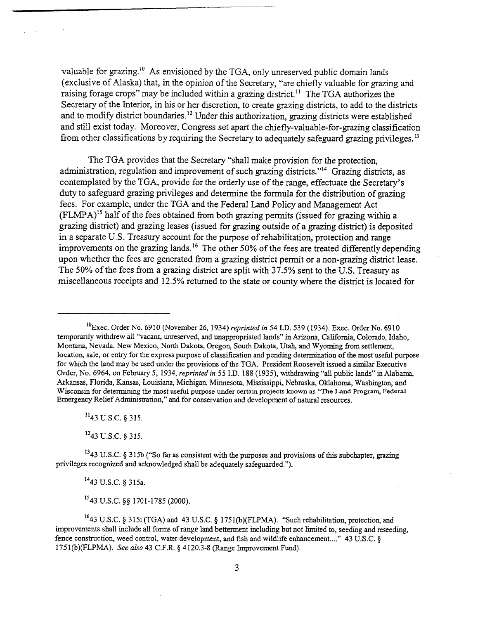valuable for grazing.<sup>10</sup> As envisioned by the TGA, only unreserved public domain lands (exclusive of Alaska) that, in the opinion of the Secretary, "are chiefly valuable for grazing and raising forage crops" may be included within a grazing district.<sup>11</sup> The TGA authorizes the Secretary of the Interior, in his or her discretion, to create grazing districts, to add to the districts and to modify district boundaries.<sup>12</sup> Under this authorization, grazing districts were established and still exist today. Moreover, Congress set apart the chiefly-valuable-for-grazing classification from other classifications by requiring the Secretary to adequately safeguard grazing privileges.<sup>13</sup>

The TGA provides that the Secretary "shall make provision for the protection, administration, regulation and improvement of such grazing districts."<sup>14</sup> Grazing districts, as contemplated by the TGA, provide for the orderly use of the range, effectuate the Secretary's duty to safeguard grazing privileges and determine the formula for the distribution of gazing fees. For example, under the TGA and the Federal Land Policy and Management Act  $(FLMPA)^{15}$  half of the fees obtained from both grazing permits (issued for grazing within a grazing district) and grazing leases (issued for grazing outside of a grazing district) is deposited in a separate U.S. Treasury account for the purpose of rehabilitation, protection and range improvements on the grazing lands.<sup>16</sup> The other 50% of the fees are treated differently depending upon whether the fees are generated from a grazing district permit or a non-grazing district lease. The 50% of the fees from a grazing district are split with 37.5% sent to the U.S. Treasury as miscellaneous receipts and 12.5% returned to the state or county where the district is located for

"43 U.S.C. **4** 315.

 $\sim$ 

 $12$ 43 U.S.C. 8 315.

<sup>13</sup>43 U.S.C. § 315b ("So far as consistent with the purposes and provisions of this subchapter, grazing privileges recognized and achowledged shall be adequately safeguarded.").

**<sup>14</sup>**43 U.S.C. § 315a.

**"43** U.S.C. §\$ 1701-1785 (2000).

<sup>&#</sup>x27;O~xec. Order No. 6910 (November 26, 1934) *reprinted in* 54 I.D. 539 (1934). Exec. Order No. 6910 temporarily withdrew all "vacant, unreserved, and unappropriated lands" in Arizona, California, Colorado, Idaho, Montana, Nevada, New Mexico, North Dakota, Oregon, South Dakota, **Utah,** and Wyoming from settlement, location, sale, or entry for the express purpose of classification and pending determination of the most usehl purpose for which the land may be used under the provisions of the TGA. President Roosevelt issued a similar Executive Order, No. 6964, on February 5, 1934, *reprinted* in 55 *I.D.* 188 (1935), withdrawing "all public lands" in Alabama, Arkansas, Florida, Kansas, Louisiana, Michigan, Minnesota, Mississippi, Nebraska, Oklahoma, Washington, and Wisconsin for determining the most useful purpose under certain projects **known** as "The Land **Program,** Federal Emergency Relief Administration," and for conservation and development of natural resources.

<sup>&</sup>lt;sup>16</sup>43 U.S.C. § 315i (TGA) and 43 U.S.C. § 1751(b)(FLPMA). "Such rehabilitation, protection, and improvements shall include all forms of range land betterment including but not limited to, seeding and reseeding, fence construction, weed control, water development, and fish and wildlife enhancement...."  $43 \text{ U.S.C.}$ 1 75 1 (b)(FLPMA). *See* also 43 C.F.R. **4** 4 120.3-8 (Range Improvement Fund).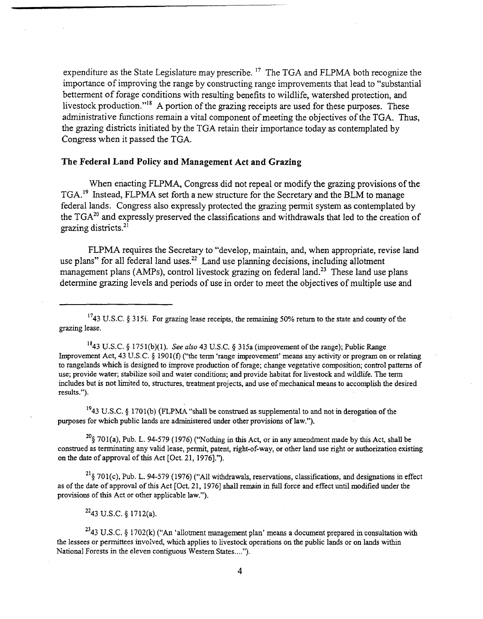expenditure as the State Legislature may prescribe. **l7** The TGA and FLPMA both recognize the importance of improving the range by constructing range improvements that lead to "substantial betterment of forage conditions with resulting benefits to wildlife, watershed protection, and livestock production."<sup>18</sup> A portion of the grazing receipts are used for these purposes. These administrative functions remain a vital component of meeting the objectives of the TGA. Thus, the grazing districts initiated by the TGA retain their importance today as contemplated by Congress when it passed the TGA.

#### **The Federal Land Policy and Management Act and Grazing**

When enacting FLPMA, Congress did not repeal or modify the grazing provisions of the TGA.<sup>19</sup> Instead, FLPMA set forth a new structure for the Secretary and the BLM to manage federal lands. Congress also expressly protected the grazing permit system as contemplated by the **TGA20** and expressly preserved the classifications and withdrawals that led to the creation of grazing districts. $21$ 

FLPMA requires the Secretary to "develop, maintain, and, when appropriate, revise land use plans" for all federal land uses.<sup>22</sup> Land use planning decisions, including allotment management plans (AMPs), control livestock grazing on federal land.<sup>23</sup> These land use plans determine grazing levels and periods of use in order to meet the objectives of multiple use and

1743 U.S.C. *5* 315i. For grazing lease receipts, the remaining 50% return to the state and county of the grazing lease.

1843 U.S.C. *5* 175 l(b)(l). See *also* 43 **U.S.C. 9** 3 15a (improvement of the range); Public Range Improvement Act, 43 U.S.C. *5* 1901(f) ("the term 'range improvement' means any activity or program on or relating to rangelands which is designed to improve production of forage; change vegetative composition; control patterns of use; provide water; stabilize soil and water conditions; and provide habitat for livestock and wildlife. The term includes but is not limited to, structures, treatment projects, and use of mechanical means to accomplish the desired results.").

1943 U.S.C. **9** 1701(b) (FLPMA "shall be construed as supplemental to and not in derogation of the purposes for which public lands are administered under other provisions of law.").

**20§** 701(a), Pub. L. 94-579 (1976) ('Wothing in this Act, or in any amendment made by this Act, shall be construed as terminating any valid lease, permit, patent, right-of-way, or other land use right or authorization existing on the date of approval of this Act [Oct. 21, 19761.").

 $^{21}$ § 701(c), Pub. L. 94-579 (1976) ("All withdrawals, reservations, classifications, and designations in effect as of the date of approval of this Act [Oct. 21, 1976] shall remain in full force and effect until modified under the provisions of this Act or other applicable law.").

 $^{22}$ 43 U.S.C. § 1712(a).

**2343 U.S.C. 9** 1702(k) **("An** 'allotment management plan' means a document prepared in consultation with the lessees or permittees involved, which applies to livestock operations on the public lands or on lands within National Forests in the eleven contiguous Western States....").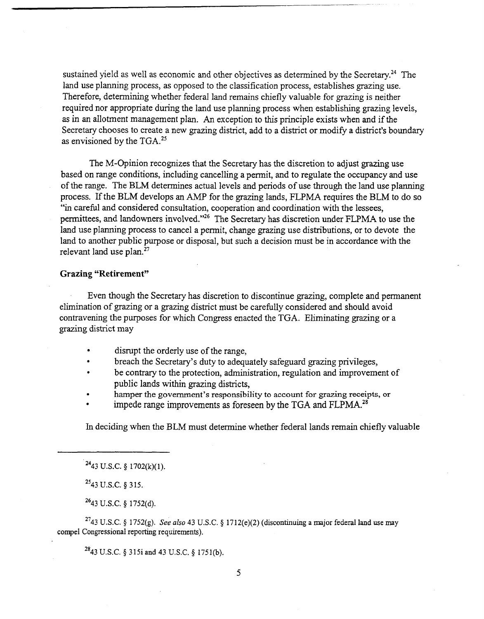sustained yield as well as economic and other objectives as determined by the Secretary.<sup>24</sup> The land use planning process, as opposed to the classification process, establishes grazing use. Therefore, determining whether federal land remains chiefly valuable for grazing is neither required nor appropriate during the land use planning process when establishing grazing levels, as in an allotment management plan. An exception to this principle exists when and if the Secretary chooses to create a new grazing district, add to a district or modify a district's boundary as envisioned by the  $TGA.^{25}$ 

The M-Opinion recognizes that the Secretary has the discretion to adjust grazing use based on range conditions, including cancelling a pennit, and to regulate the occupancy and use of the range. The BLM determines actual levels and periods of use through the land use planning process. If the BLM develops an AMP for the grazing lands, FLPMA requires the BLM to do so "in careful and considered consultation, cooperation and coordination with the lessees, permittees, and landowners involved."26 The Secretary has discretion under FLPMA to use the land use planning process to cancel a permit, change grazing use distributions, or to devote the land to another public purpose or disposal, but such a decision must be in accordance with the relevant land use plan.<sup>27</sup>

#### **Grazing "Retirement"**

Even though the Secretary has discretion to discontinue grazing, complete and permanent elimination of grazing or a grazing district must be carefully considered and should avoid contravening the purposes for which Congress enacted the TGA. Eliminating grazing or a grazing district may

- disrupt the orderly use of the range,
- breach the Secretary's duty to adequately safeguard grazing privileges,
- be contrary to the protection, administration, regulation and improvement of public lands within grazing districts,
- hamper the government's responsibility to account for **grazing** receipts, or
- impede range improvements as foreseen by the TGA and FLPMA.<sup>28</sup>

In deciding when the BLM must determine whether federal lands remain chiefly valuable

 $^{25}$ 43 U.S.C. § 315.

 $2643$  U.S.C. § 1752(d).

<sup>27</sup>43 U.S.C. § 1752(g). *See also* 43 U.S.C. § 1712(e)(2) (discontinuing a major federal land use may compel Congressional reporting requirements).

2843 U.S.C. 315i and **43** U.S.C. **4** 1751(b).

 $^{24}$ 43 U.S.C. § 1702(k)(1).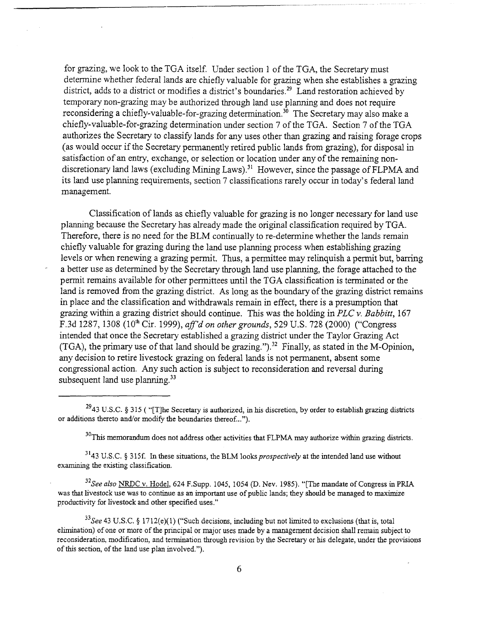for grazing, we look to the TGA itself. Under section 1 of the TGA, the Secretary must determine whether federal lands are chiefly valuable for grazing when she establishes a grazing district, adds to a district or modifies a district's boundaries.<sup>29</sup> Land restoration achieved by temporary non-grazing may be authorized through land use planning and does not require reconsidering a chiefly-valuable-for-grazing determination.<sup>30</sup> The Secretary may also make a chiefly-valuable-for-grazing determination under section 7 of the TGA. Section 7 of the TGA authorizes the Secretary to classify lands for any uses other than grazing and raising forage crops (as would occur if the Secretary permanently retired public lands from grazing), for disposal in satisfaction of an entry, exchange, or selection or location under any of the remaining nondiscretionary land laws (excluding Mining Laws).<sup>31</sup> However, since the passage of FLPMA and its land use planning requirements, section 7 classifications rarely occur in today's federal land management.

Classification of lands as chiefly valuable for grazing is no longer necessary for land use planning because the Secretary has already made the original classification required by TGA. Therefore, there is no need for the BLM continually to re-determine whether the lands remain chiefly valuable for grazing during the land use planning process when establishing grazing levels or when renewing a grazing permit. Thus, a permittee may relinquish a permit but, barring a better use as determined by the Secretary through land use planning, the forage attached to the permit remains available for other permittees until the TGA classification is terminated or the land is removed fiom the grazing district. As long as the boundary of the grazing district remains in place and the classification and withdrawals remain in effect, there is a presumption that grazing within a grazing district should continue. This was the holding in PLC v. Babbitt,  $167$ F.3d 1287, 1308 (10' Cir. 1999), *afld* on other *grounds,* 529 U.S. 728 (2000) ("Congress intended that once the Secretary established a grazing district under the Taylor Grazing Act (TGA), the primary use of that land should be grazing.").<sup>32</sup> Finally, as stated in the M-Opinion, any decision to retire livestock grazing on federal lands is not permanent, absent some congressional action. Any such action is subject to reconsideration and reversal during subsequent land use planning. $33$ 

<sup>30</sup>This memorandum does not address other activities that FLPMA may authorize within grazing districts.

 $3143$  U.S.C. § 315f. In these situations, the BLM looks *prospectively* at the intended land use without examining the existing classfication.

 $32$ See also NRDC v. Hodel, 624 F.Supp. 1045, 1054 (D. Nev. 1985). "[The mandate of Congress in PRIA was that livestock use was to continue as an important use of public lands; they should be managed to maximize productivity for livestock and other specified uses."

<sup>33</sup>See 43 U.S.C. § 1712(e)(1) ("Such decisions, including but not limited to exclusions (that is, total elmhation) of one or more of the principal or major uses made by a management decision shall remain subject to reconsideration, moddication, and termination through revision by the Secretary or his delegate, under the provisions of this section, of the land use plan involved.").

<sup>&</sup>lt;sup>29</sup>43 U.S.C. § 315 ( "[T]he Secretary is authorized, in his discretion, by order to establish grazing districts or additions thereto and/or modify the boundaries thereof...").